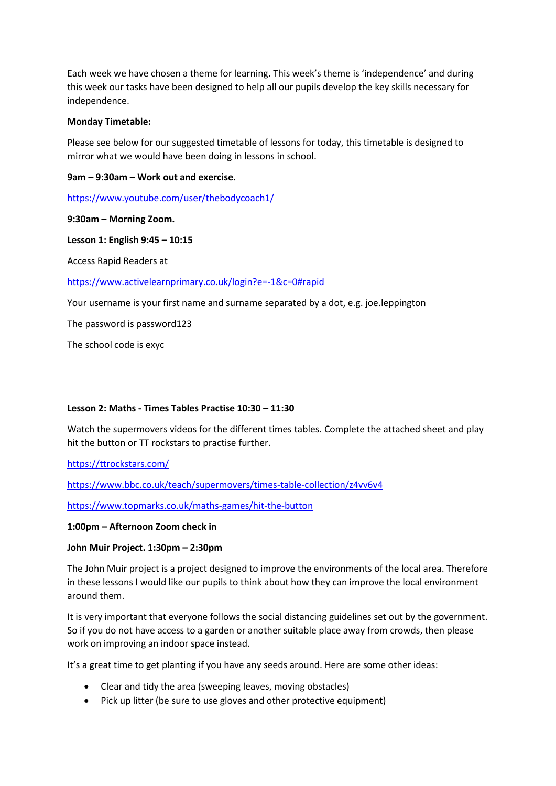Each week we have chosen a theme for learning. This week's theme is 'independence' and during this week our tasks have been designed to help all our pupils develop the key skills necessary for independence.

### **Monday Timetable:**

Please see below for our suggested timetable of lessons for today, this timetable is designed to mirror what we would have been doing in lessons in school.

## **9am – 9:30am – Work out and exercise.**

<https://www.youtube.com/user/thebodycoach1/>

## **9:30am – Morning Zoom.**

## **Lesson 1: English 9:45 – 10:15**

Access Rapid Readers at

## <https://www.activelearnprimary.co.uk/login?e=-1&c=0#rapid>

Your username is your first name and surname separated by a dot, e.g. joe.leppington

The password is password123

The school code is exyc

# **Lesson 2: Maths - Times Tables Practise 10:30 – 11:30**

Watch the supermovers videos for the different times tables. Complete the attached sheet and play hit the button or TT rockstars to practise further.

<https://ttrockstars.com/>

<https://www.bbc.co.uk/teach/supermovers/times-table-collection/z4vv6v4>

<https://www.topmarks.co.uk/maths-games/hit-the-button>

### **1:00pm – Afternoon Zoom check in**

# **John Muir Project. 1:30pm – 2:30pm**

The John Muir project is a project designed to improve the environments of the local area. Therefore in these lessons I would like our pupils to think about how they can improve the local environment around them.

It is very important that everyone follows the social distancing guidelines set out by the government. So if you do not have access to a garden or another suitable place away from crowds, then please work on improving an indoor space instead.

It's a great time to get planting if you have any seeds around. Here are some other ideas:

- Clear and tidy the area (sweeping leaves, moving obstacles)
- Pick up litter (be sure to use gloves and other protective equipment)